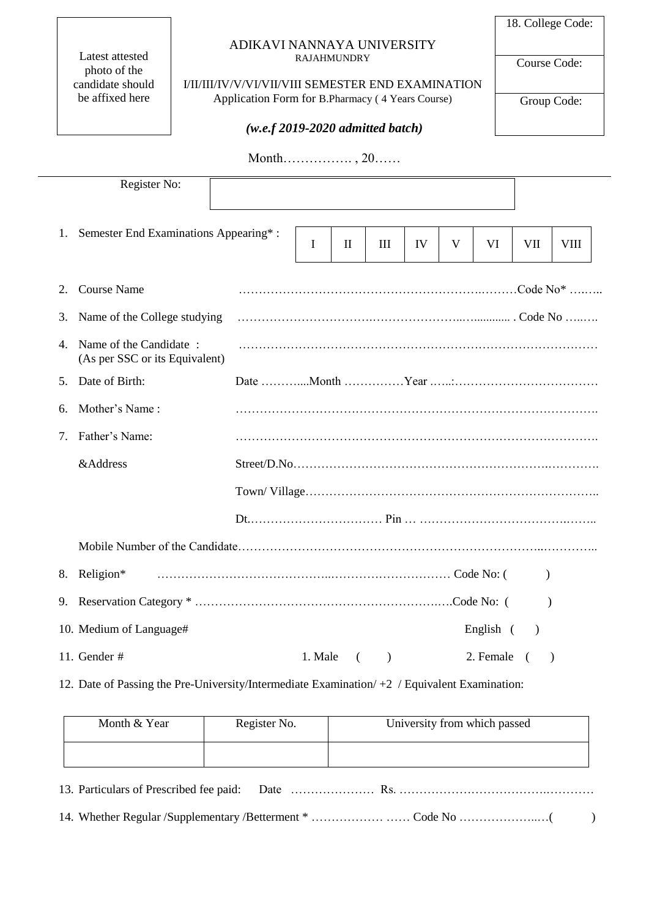Latest attested photo of the candidate should be affixed here

## ADIKAVI NANNAYA UNIVERSITY RAJAHMUNDRY

I/II/III/IV/V/VI/VII/VIII SEMESTER END EXAMINATION Application Form for B.Pharmacy ( 4 Years Course)

18. College Code:

Course Code:

Group Code:

# *(w.e.f 2019-2020 admitted batch)*

Month……………. , 20……

|                | Register No:                                             |         |              |           |    |   |           |                |             |
|----------------|----------------------------------------------------------|---------|--------------|-----------|----|---|-----------|----------------|-------------|
| 1.             | Semester End Examinations Appearing*:                    | I       | $\mathbf{I}$ | III       | IV | V | VI        | VII            | <b>VIII</b> |
| 2.             | <b>Course Name</b>                                       |         |              |           |    |   |           |                |             |
| 3.             | Name of the College studying                             |         |              |           |    |   |           |                |             |
| $\overline{4}$ | Name of the Candidate:<br>(As per SSC or its Equivalent) |         |              |           |    |   |           |                |             |
| 5.             | Date of Birth:                                           |         |              |           |    |   |           |                |             |
| 6.             | Mother's Name:                                           |         |              |           |    |   |           |                |             |
| 7              | Father's Name:                                           |         |              |           |    |   |           |                |             |
|                | &Address                                                 |         |              |           |    |   |           |                |             |
|                |                                                          |         |              |           |    |   |           |                |             |
|                |                                                          |         |              |           |    |   |           |                |             |
|                |                                                          |         |              |           |    |   |           |                |             |
| 8.             | Religion*                                                |         |              |           |    |   |           | $\lambda$      |             |
| 9.             |                                                          |         |              |           |    |   |           |                |             |
|                | 10. Medium of Language#                                  |         |              |           |    |   | English ( |                |             |
|                | 11. Gender #                                             | 1. Male | (            | $\lambda$ |    |   | 2. Female | $\overline{ }$ |             |

12. Date of Passing the Pre-University/Intermediate Examination/ +2 / Equivalent Examination:

| Month & Year | Register No. | University from which passed |
|--------------|--------------|------------------------------|
|              |              |                              |
|              |              |                              |
|              |              |                              |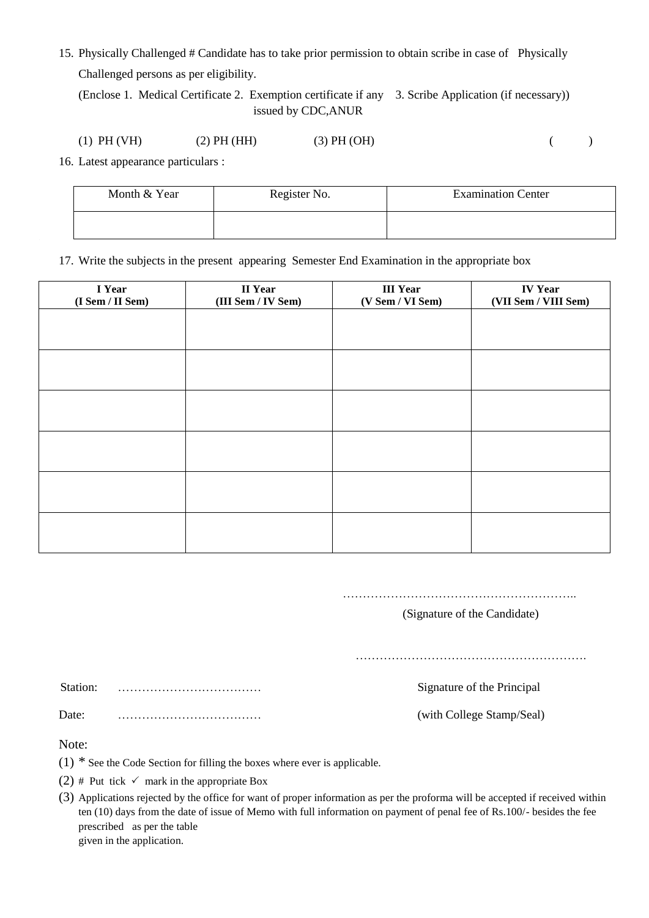15. Physically Challenged # Candidate has to take prior permission to obtain scribe in case of Physically Challenged persons as per eligibility.

(Enclose 1. Medical Certificate 2. Exemption certificate if any 3. Scribe Application (if necessary)) issued by CDC,ANUR

| $(1)$ PH $(VH)$ | (2) PH (HH) | $(3)$ PH $(OH)$ |  |
|-----------------|-------------|-----------------|--|
|                 |             |                 |  |

16. Latest appearance particulars :

| Month & Year | Register No. | <b>Examination Center</b> |
|--------------|--------------|---------------------------|
|              |              |                           |

17. Write the subjects in the present appearing Semester End Examination in the appropriate box

| I Year<br>(I Sem / II Sem) | II Year<br>(III Sem / IV Sem) | <b>III</b> Year<br>(V Sem / VI Sem) | <b>IV Year</b><br>(VII Sem / VIII Sem) |
|----------------------------|-------------------------------|-------------------------------------|----------------------------------------|
|                            |                               |                                     |                                        |
|                            |                               |                                     |                                        |
|                            |                               |                                     |                                        |
|                            |                               |                                     |                                        |
|                            |                               |                                     |                                        |
|                            |                               |                                     |                                        |
|                            |                               |                                     |                                        |
|                            |                               |                                     |                                        |
|                            |                               |                                     |                                        |
|                            |                               |                                     |                                        |
|                            |                               |                                     |                                        |
|                            |                               |                                     |                                        |

#### …………………………………………………………………………

(Signature of the Candidate)

………………………………………………….

Station: ……………………………… Signature of the Principal

Date: ……………………………… (with College Stamp/Seal)

Note:

- $(1)$  \* See the Code Section for filling the boxes where ever is applicable.
- (2) # Put tick  $\checkmark$  mark in the appropriate Box
- (3) Applications rejected by the office for want of proper information as per the proforma will be accepted if received within ten (10) days from the date of issue of Memo with full information on payment of penal fee of Rs.100/- besides the fee prescribed as per the table given in the application.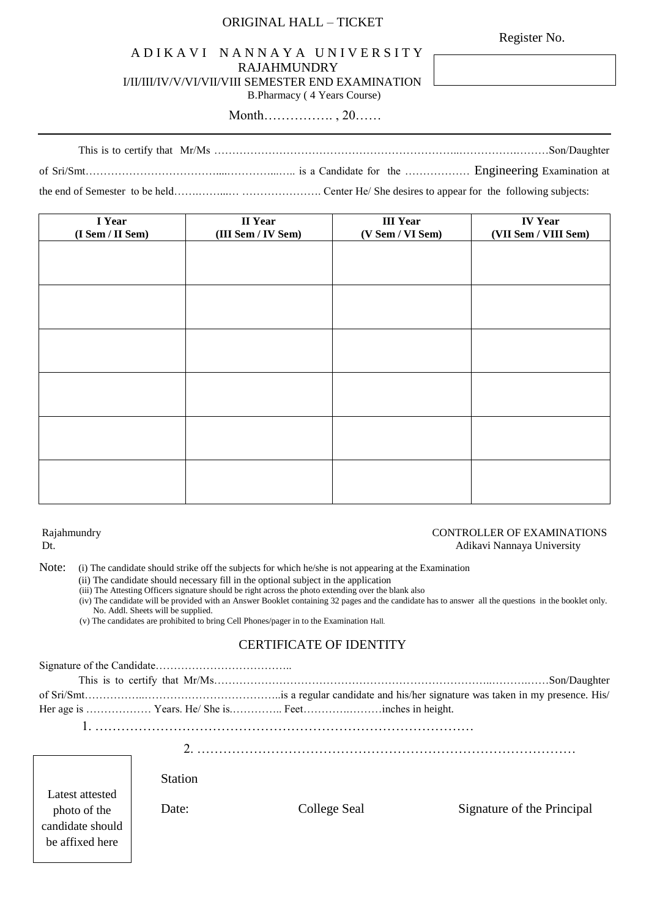# ORIGINAL HALL – TICKET

Register No.

#### A D I K A V I N A N N A Y A U N I V E R S I T Y RAJAHMUNDRY

I/II/III/IV/V/VI/VII/VIII SEMESTER END EXAMINATION

B.Pharmacy ( 4 Years Course)

Month……………. , 20……

This is to certify that Mr/Ms …………………………………………………………..…………….………Son/Daughter

of Sri/Smt………………………………....…………...….. is a Candidate for the ……………… Engineering Examination at

the end of Semester to be held…….……...… …………………. Center He/ She desires to appear for the following subjects:

| I Year           | II Year            | <b>III</b> Year  | <b>IV Year</b>       |
|------------------|--------------------|------------------|----------------------|
| (I Sem / II Sem) | (III Sem / IV Sem) | (V Sem / VI Sem) | (VII Sem / VIII Sem) |
|                  |                    |                  |                      |
|                  |                    |                  |                      |
|                  |                    |                  |                      |
|                  |                    |                  |                      |
|                  |                    |                  |                      |
|                  |                    |                  |                      |
|                  |                    |                  |                      |
|                  |                    |                  |                      |
|                  |                    |                  |                      |
|                  |                    |                  |                      |
|                  |                    |                  |                      |
|                  |                    |                  |                      |
|                  |                    |                  |                      |
|                  |                    |                  |                      |
|                  |                    |                  |                      |
|                  |                    |                  |                      |
|                  |                    |                  |                      |
|                  |                    |                  |                      |

### Rajahmundry CONTROLLER OF EXAMINATIONS Dt. Adikavi Nannaya University

Note: (i) The candidate should strike off the subjects for which he/she is not appearing at the Examination

(ii) The candidate should necessary fill in the optional subject in the application

(iii) The Attesting Officers signature should be right across the photo extending over the blank also

 (iv) The candidate will be provided with an Answer Booklet containing 32 pages and the candidate has to answer all the questions in the booklet only. No. Addl. Sheets will be supplied.

(v) The candidates are prohibited to bring Cell Phones/pager in to the Examination Hall.

# CERTIFICATE OF IDENTITY

2. ……………………………………………………………………………

Station

Date: College Seal Signature of the Principal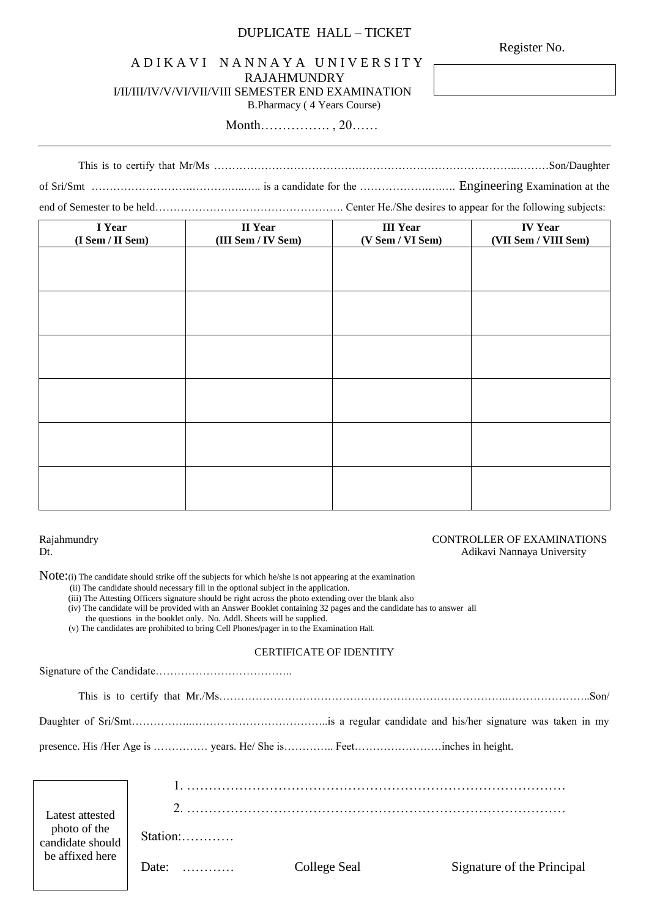# DUPLICATE HALL – TICKET

Register No.

# A D I K A V I N A N N A Y A U N I V E R S I T Y RAJAHMUNDRY I/II/III/IV/V/VI/VII/VIII SEMESTER END EXAMINATION

B.Pharmacy ( 4 Years Course)

Month……………. , 20……

This is to certify that Mr/Ms ………………………………….……………………………………..………Son/Daughter

of Sri/Smt ……………………….……….…..….. is a candidate for the ……………….….…. Engineering Examination at the

end of Semester to be held……………………………………………. Center He./She desires to appear for the following subjects:

| I Year<br>(I Sem / II Sem) | II Year<br>(III Sem / IV Sem) | <b>III</b> Year<br>(V Sem / VI Sem) | <b>IV Year</b><br>(VII Sem / VIII Sem) |
|----------------------------|-------------------------------|-------------------------------------|----------------------------------------|
|                            |                               |                                     |                                        |
|                            |                               |                                     |                                        |
|                            |                               |                                     |                                        |
|                            |                               |                                     |                                        |
|                            |                               |                                     |                                        |
|                            |                               |                                     |                                        |
|                            |                               |                                     |                                        |
|                            |                               |                                     |                                        |
|                            |                               |                                     |                                        |
|                            |                               |                                     |                                        |
|                            |                               |                                     |                                        |
|                            |                               |                                     |                                        |

#### Rajahmundry **CONTROLLER OF EXAMINATIONS** Dt. Adikavi Nannaya University

Note:(i) The candidate should strike off the subjects for which he/she is not appearing at the examination

(ii) The candidate should necessary fill in the optional subject in the application.

(iii) The Attesting Officers signature should be right across the photo extending over the blank also

(iv) The candidate will be provided with an Answer Booklet containing 32 pages and the candidate has to answer all

the questions in the booklet only. No. Addl. Sheets will be supplied.

(v) The candidates are prohibited to bring Cell Phones/pager in to the Examination Hall.

#### CERTIFICATE OF IDENTITY

Signature of the Candidate………………………………..

This is to certify that Mr./Ms……………………………………………………………………..…………………..Son/

Daughter of Sri/Smt……………..………………………………..is a regular candidate and his/her signature was taken in my

presence. His /Her Age is …………… years. He/ She is………….. Feet……………………inches in height.

| Latest attested<br>photo of the<br>candidate should | Station: |              |                            |
|-----------------------------------------------------|----------|--------------|----------------------------|
| be affixed here                                     | Date:    | College Seal | Signature of the Principal |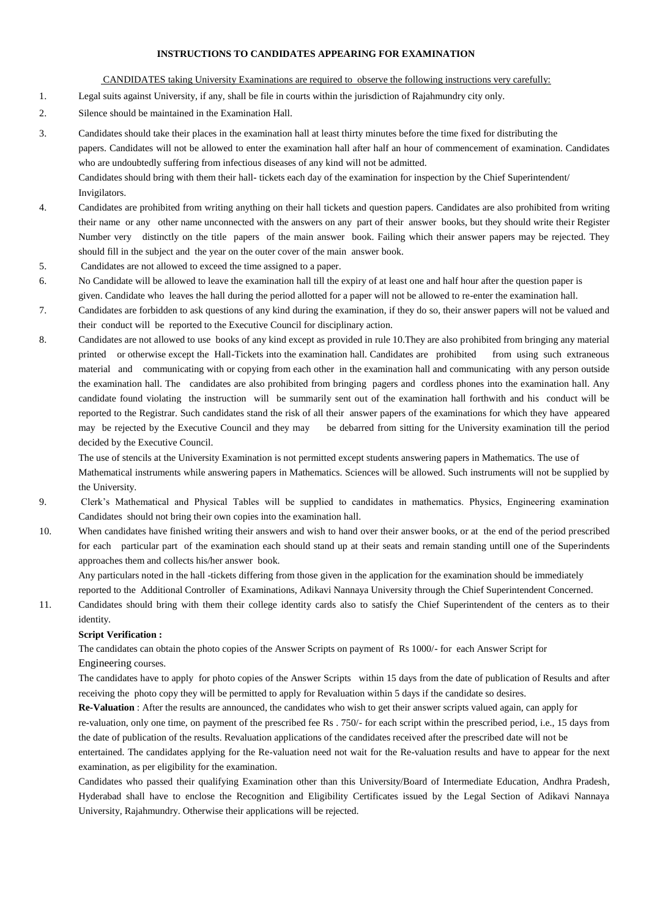#### **INSTRUCTIONS TO CANDIDATES APPEARING FOR EXAMINATION**

#### CANDIDATES taking University Examinations are required to observe the following instructions very carefully:

- 1. Legal suits against University, if any, shall be file in courts within the jurisdiction of Rajahmundry city only.
- 2. Silence should be maintained in the Examination Hall.
- 3. Candidates should take their places in the examination hall at least thirty minutes before the time fixed for distributing the papers. Candidates will not be allowed to enter the examination hall after half an hour of commencement of examination. Candidates who are undoubtedly suffering from infectious diseases of any kind will not be admitted. Candidates should bring with them their hall- tickets each day of the examination for inspection by the Chief Superintendent/ Invigilators.
- 4. Candidates are prohibited from writing anything on their hall tickets and question papers. Candidates are also prohibited from writing their name or any other name unconnected with the answers on any part of their answer books, but they should write their Register Number very distinctly on the title papers of the main answer book. Failing which their answer papers may be rejected. They should fill in the subject and the year on the outer cover of the main answer book.
- 5. Candidates are not allowed to exceed the time assigned to a paper.
- 6. No Candidate will be allowed to leave the examination hall till the expiry of at least one and half hour after the question paper is given. Candidate who leaves the hall during the period allotted for a paper will not be allowed to re-enter the examination hall.
- 7. Candidates are forbidden to ask questions of any kind during the examination, if they do so, their answer papers will not be valued and their conduct will be reported to the Executive Council for disciplinary action.
- 8. Candidates are not allowed to use books of any kind except as provided in rule 10.They are also prohibited from bringing any material printed or otherwise except the Hall-Tickets into the examination hall. Candidates are prohibited from using such extraneous material and communicating with or copying from each other in the examination hall and communicating with any person outside the examination hall. The candidates are also prohibited from bringing pagers and cordless phones into the examination hall. Any candidate found violating the instruction will be summarily sent out of the examination hall forthwith and his conduct will be reported to the Registrar. Such candidates stand the risk of all their answer papers of the examinations for which they have appeared may be rejected by the Executive Council and they may be debarred from sitting for the University examination till the period decided by the Executive Council.

 The use of stencils at the University Examination is not permitted except students answering papers in Mathematics. The use of Mathematical instruments while answering papers in Mathematics. Sciences will be allowed. Such instruments will not be supplied by the University.

- 9. Clerk's Mathematical and Physical Tables will be supplied to candidates in mathematics. Physics, Engineering examination Candidates should not bring their own copies into the examination hall.
- 10. When candidates have finished writing their answers and wish to hand over their answer books, or at the end of the period prescribed for each particular part of the examination each should stand up at their seats and remain standing untill one of the Superindents approaches them and collects his/her answer book.

 Any particulars noted in the hall -tickets differing from those given in the application for the examination should be immediately reported to the Additional Controller of Examinations, Adikavi Nannaya University through the Chief Superintendent Concerned.

11. Candidates should bring with them their college identity cards also to satisfy the Chief Superintendent of the centers as to their identity.

#### **Script Verification :**

The candidates can obtain the photo copies of the Answer Scripts on payment of Rs 1000/- for each Answer Script for Engineering courses.

The candidates have to apply for photo copies of the Answer Scripts within 15 days from the date of publication of Results and after receiving the photo copy they will be permitted to apply for Revaluation within 5 days if the candidate so desires.

**Re-Valuation** : After the results are announced, the candidates who wish to get their answer scripts valued again, can apply for

re-valuation, only one time, on payment of the prescribed fee Rs . 750/- for each script within the prescribed period, i.e., 15 days from the date of publication of the results. Revaluation applications of the candidates received after the prescribed date will not be

entertained. The candidates applying for the Re-valuation need not wait for the Re-valuation results and have to appear for the next examination, as per eligibility for the examination.

Candidates who passed their qualifying Examination other than this University/Board of Intermediate Education, Andhra Pradesh, Hyderabad shall have to enclose the Recognition and Eligibility Certificates issued by the Legal Section of Adikavi Nannaya University, Rajahmundry. Otherwise their applications will be rejected.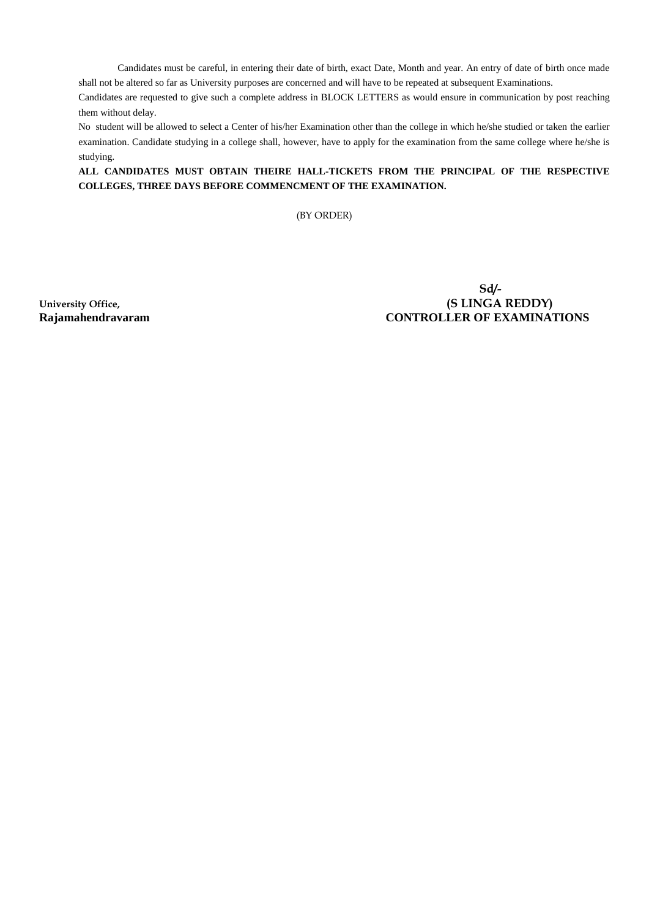Candidates must be careful, in entering their date of birth, exact Date, Month and year. An entry of date of birth once made shall not be altered so far as University purposes are concerned and will have to be repeated at subsequent Examinations.

Candidates are requested to give such a complete address in BLOCK LETTERS as would ensure in communication by post reaching them without delay.

No student will be allowed to select a Center of his/her Examination other than the college in which he/she studied or taken the earlier examination. Candidate studying in a college shall, however, have to apply for the examination from the same college where he/she is studying.

# **ALL CANDIDATES MUST OBTAIN THEIRE HALL-TICKETS FROM THE PRINCIPAL OF THE RESPECTIVE COLLEGES, THREE DAYS BEFORE COMMENCMENT OF THE EXAMINATION.**

(BY ORDER)

 **Sd/- University Office, (S LINGA REDDY) Rajamahendravaram CONTROLLER OF EXAMINATIONS**